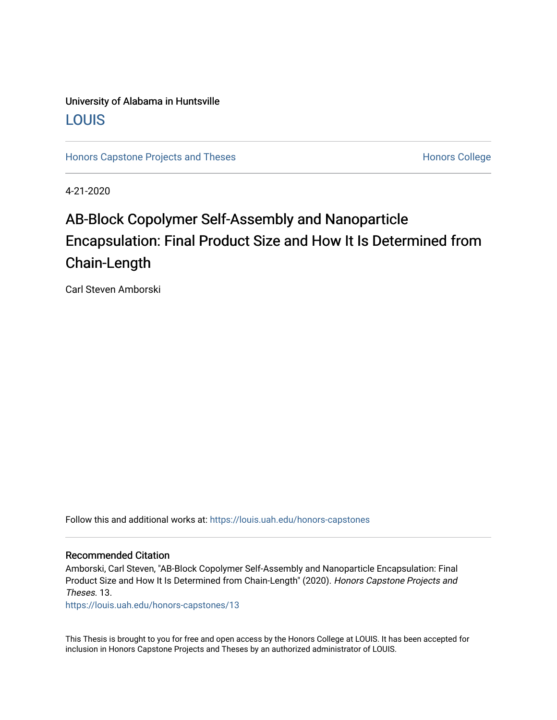## University of Alabama in Huntsville [LOUIS](https://louis.uah.edu/)

[Honors Capstone Projects and Theses](https://louis.uah.edu/honors-capstones) **Honors College** Honors College

4-21-2020

# AB-Block Copolymer Self-Assembly and Nanoparticle Encapsulation: Final Product Size and How It Is Determined from Chain-Length

Carl Steven Amborski

Follow this and additional works at: [https://louis.uah.edu/honors-capstones](https://louis.uah.edu/honors-capstones?utm_source=louis.uah.edu%2Fhonors-capstones%2F13&utm_medium=PDF&utm_campaign=PDFCoverPages) 

#### Recommended Citation

Amborski, Carl Steven, "AB-Block Copolymer Self-Assembly and Nanoparticle Encapsulation: Final Product Size and How It Is Determined from Chain-Length" (2020). Honors Capstone Projects and Theses. 13.

[https://louis.uah.edu/honors-capstones/13](https://louis.uah.edu/honors-capstones/13?utm_source=louis.uah.edu%2Fhonors-capstones%2F13&utm_medium=PDF&utm_campaign=PDFCoverPages)

This Thesis is brought to you for free and open access by the Honors College at LOUIS. It has been accepted for inclusion in Honors Capstone Projects and Theses by an authorized administrator of LOUIS.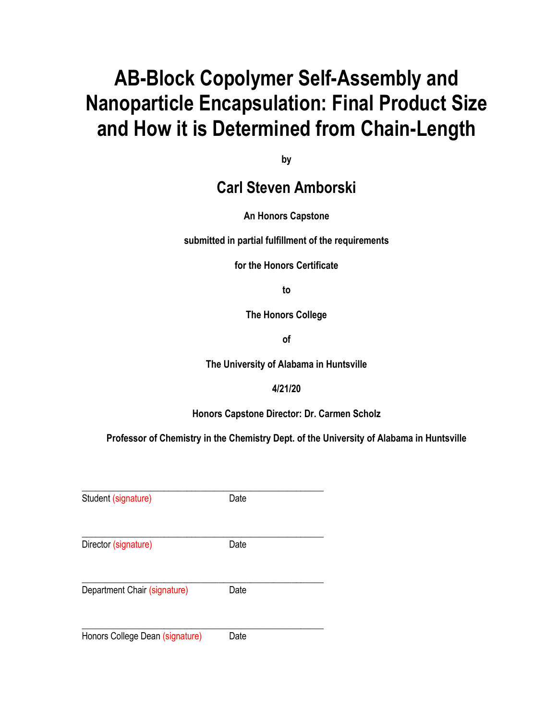# **AB-Block Copolymer Self-Assembly and Nanoparticle Encapsulation: Final Product Size and How it is Determined from Chain-Length**

**by**

# **Carl Steven Amborski**

### **An Honors Capstone**

**submitted in partial fulfillment of the requirements** 

**for the Honors Certificate**

**to** 

**The Honors College** 

**of** 

**The University of Alabama in Huntsville**

#### **4/21/20**

**Honors Capstone Director: Dr. Carmen Scholz**

**Professor of Chemistry in the Chemistry Dept. of the University of Alabama in Huntsville**

| Student (signature)             | Date |  |
|---------------------------------|------|--|
| Director (signature)            | Date |  |
| Department Chair (signature)    | Date |  |
| Honors College Dean (signature) | Date |  |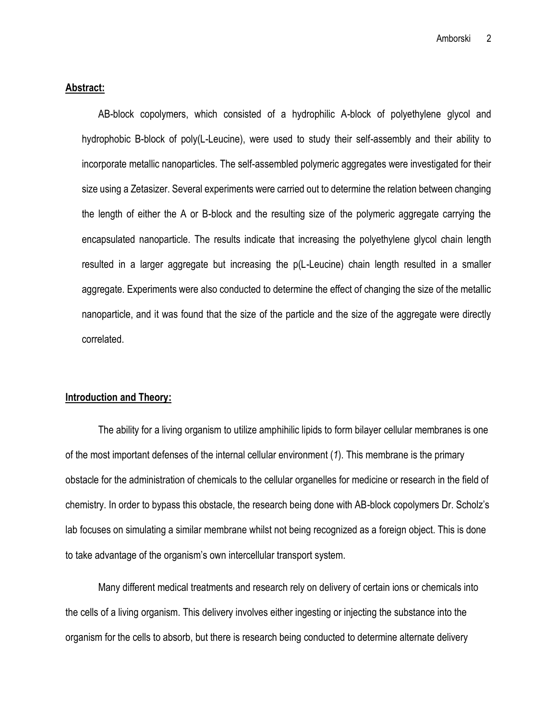#### **Abstract:**

AB-block copolymers, which consisted of a hydrophilic A-block of polyethylene glycol and hydrophobic B-block of poly(L-Leucine), were used to study their self-assembly and their ability to incorporate metallic nanoparticles. The self-assembled polymeric aggregates were investigated for their size using a Zetasizer. Several experiments were carried out to determine the relation between changing the length of either the A or B-block and the resulting size of the polymeric aggregate carrying the encapsulated nanoparticle. The results indicate that increasing the polyethylene glycol chain length resulted in a larger aggregate but increasing the p(L-Leucine) chain length resulted in a smaller aggregate. Experiments were also conducted to determine the effect of changing the size of the metallic nanoparticle, and it was found that the size of the particle and the size of the aggregate were directly correlated.

#### **Introduction and Theory:**

The ability for a living organism to utilize amphihilic lipids to form bilayer cellular membranes is one of the most important defenses of the internal cellular environment (*1*). This membrane is the primary obstacle for the administration of chemicals to the cellular organelles for medicine or research in the field of chemistry. In order to bypass this obstacle, the research being done with AB-block copolymers Dr. Scholz's lab focuses on simulating a similar membrane whilst not being recognized as a foreign object. This is done to take advantage of the organism's own intercellular transport system.

Many different medical treatments and research rely on delivery of certain ions or chemicals into the cells of a living organism. This delivery involves either ingesting or injecting the substance into the organism for the cells to absorb, but there is research being conducted to determine alternate delivery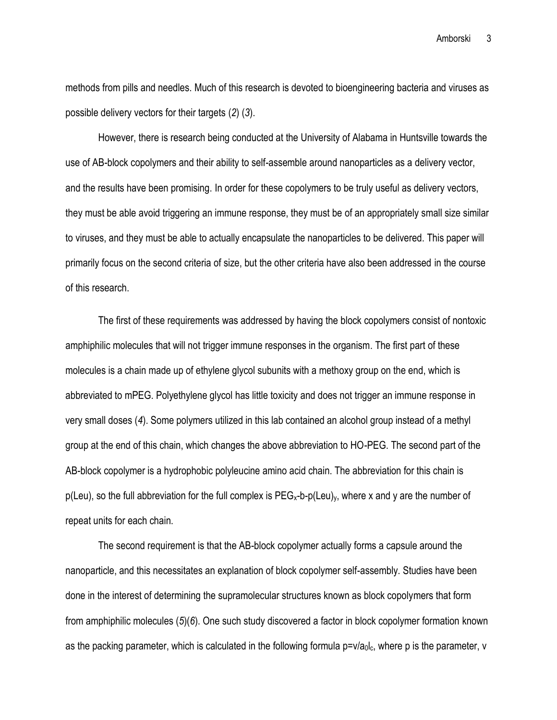Amborski 3

methods from pills and needles. Much of this research is devoted to bioengineering bacteria and viruses as possible delivery vectors for their targets (*2*) (*3*).

However, there is research being conducted at the University of Alabama in Huntsville towards the use of AB-block copolymers and their ability to self-assemble around nanoparticles as a delivery vector, and the results have been promising. In order for these copolymers to be truly useful as delivery vectors, they must be able avoid triggering an immune response, they must be of an appropriately small size similar to viruses, and they must be able to actually encapsulate the nanoparticles to be delivered. This paper will primarily focus on the second criteria of size, but the other criteria have also been addressed in the course of this research.

The first of these requirements was addressed by having the block copolymers consist of nontoxic amphiphilic molecules that will not trigger immune responses in the organism. The first part of these molecules is a chain made up of ethylene glycol subunits with a methoxy group on the end, which is abbreviated to mPEG. Polyethylene glycol has little toxicity and does not trigger an immune response in very small doses (*4*). Some polymers utilized in this lab contained an alcohol group instead of a methyl group at the end of this chain, which changes the above abbreviation to HO-PEG. The second part of the AB-block copolymer is a hydrophobic polyleucine amino acid chain. The abbreviation for this chain is  $p(Leu)$ , so the full abbreviation for the full complex is  $PEG_x-b-p(Leu)_y$ , where x and y are the number of repeat units for each chain.

The second requirement is that the AB-block copolymer actually forms a capsule around the nanoparticle, and this necessitates an explanation of block copolymer self-assembly. Studies have been done in the interest of determining the supramolecular structures known as block copolymers that form from amphiphilic molecules (*5*)(*6*). One such study discovered a factor in block copolymer formation known as the packing parameter, which is calculated in the following formula  $p=v/a_0l_c$ , where p is the parameter, v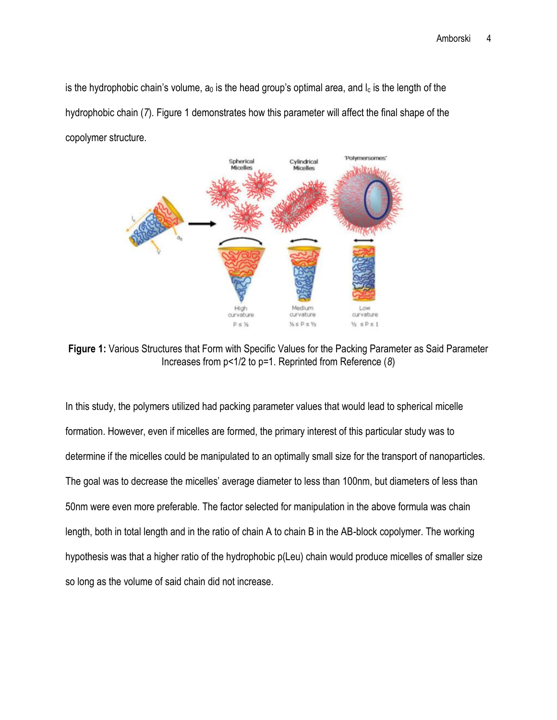is the hydrophobic chain's volume,  $a_0$  is the head group's optimal area, and  $I_c$  is the length of the hydrophobic chain (*7*). Figure 1 demonstrates how this parameter will affect the final shape of the copolymer structure.



**Figure 1:** Various Structures that Form with Specific Values for the Packing Parameter as Said Parameter Increases from p<1/2 to p=1. Reprinted from Reference (*8*)

In this study, the polymers utilized had packing parameter values that would lead to spherical micelle formation. However, even if micelles are formed, the primary interest of this particular study was to determine if the micelles could be manipulated to an optimally small size for the transport of nanoparticles. The goal was to decrease the micelles' average diameter to less than 100nm, but diameters of less than 50nm were even more preferable. The factor selected for manipulation in the above formula was chain length, both in total length and in the ratio of chain A to chain B in the AB-block copolymer. The working hypothesis was that a higher ratio of the hydrophobic p(Leu) chain would produce micelles of smaller size so long as the volume of said chain did not increase.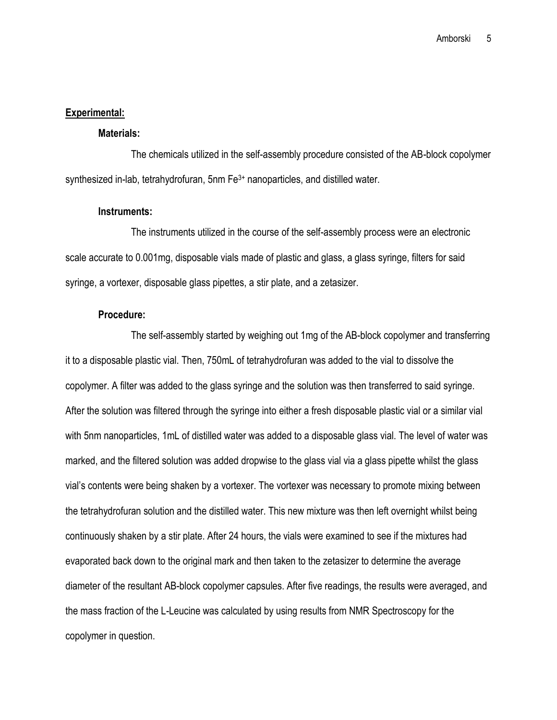#### **Experimental:**

#### **Materials:**

The chemicals utilized in the self-assembly procedure consisted of the AB-block copolymer synthesized in-lab, tetrahydrofuran, 5nm Fe<sup>3+</sup> nanoparticles, and distilled water.

#### **Instruments:**

The instruments utilized in the course of the self-assembly process were an electronic scale accurate to 0.001mg, disposable vials made of plastic and glass, a glass syringe, filters for said syringe, a vortexer, disposable glass pipettes, a stir plate, and a zetasizer.

#### **Procedure:**

The self-assembly started by weighing out 1mg of the AB-block copolymer and transferring it to a disposable plastic vial. Then, 750mL of tetrahydrofuran was added to the vial to dissolve the copolymer. A filter was added to the glass syringe and the solution was then transferred to said syringe. After the solution was filtered through the syringe into either a fresh disposable plastic vial or a similar vial with 5nm nanoparticles, 1mL of distilled water was added to a disposable glass vial. The level of water was marked, and the filtered solution was added dropwise to the glass vial via a glass pipette whilst the glass vial's contents were being shaken by a vortexer. The vortexer was necessary to promote mixing between the tetrahydrofuran solution and the distilled water. This new mixture was then left overnight whilst being continuously shaken by a stir plate. After 24 hours, the vials were examined to see if the mixtures had evaporated back down to the original mark and then taken to the zetasizer to determine the average diameter of the resultant AB-block copolymer capsules. After five readings, the results were averaged, and the mass fraction of the L-Leucine was calculated by using results from NMR Spectroscopy for the copolymer in question.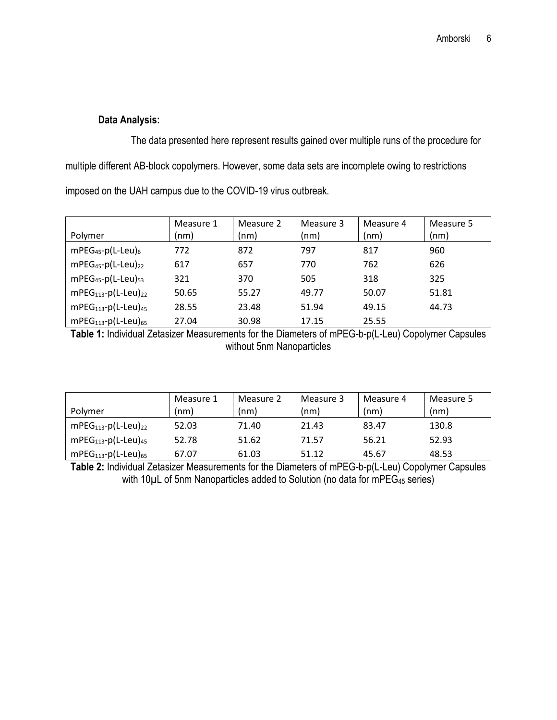#### **Data Analysis:**

The data presented here represent results gained over multiple runs of the procedure for multiple different AB-block copolymers. However, some data sets are incomplete owing to restrictions imposed on the UAH campus due to the COVID-19 virus outbreak.

|                                     | Measure 1 | Measure 2 | Measure 3 | Measure 4 | Measure 5 |
|-------------------------------------|-----------|-----------|-----------|-----------|-----------|
| Polymer                             | (nm)      | (nm)      | (nm)      | (nm)      | (nm)      |
| $mPEG_{45}$ -p(L-Leu) <sub>6</sub>  | 772       | 872       | 797       | 817       | 960       |
| $mPEG_{45}$ -p(L-Leu) <sub>22</sub> | 617       | 657       | 770       | 762       | 626       |
| $mPEG45-p(L-Leu)53$                 | 321       | 370       | 505       | 318       | 325       |
| $mPEG_{113} - p(L-Leu)_{22}$        | 50.65     | 55.27     | 49.77     | 50.07     | 51.81     |
| $mPEG113-p(L-Leu)45$                | 28.55     | 23.48     | 51.94     | 49.15     | 44.73     |
| $mPEG113-p(L-Leu)65$                | 27.04     | 30.98     | 17.15     | 25.55     |           |

**Table 1:** Individual Zetasizer Measurements for the Diameters of mPEG-b-p(L-Leu) Copolymer Capsules without 5nm Nanoparticles

| Polymer                        | Measure 1<br>(nm) | Measure 2<br>(nm) | Measure 3<br>(nm) | Measure 4<br>(nm) | Measure 5<br>(nm) |
|--------------------------------|-------------------|-------------------|-------------------|-------------------|-------------------|
| $mPEG_{113} - p(L-Leu)_{22}$   | 52.03             | 71.40             | 21.43             | 83.47             | 130.8             |
| $mPEG113-p(L-Leu)45$           | 52.78             | 51.62             | 71.57             | 56.21             | 52.93             |
| $mPEG_{113}$ -p(L-Leu) $_{65}$ | 67.07             | 61.03             | 51.12             | 45.67             | 48.53             |

**Table 2:** Individual Zetasizer Measurements for the Diameters of mPEG-b-p(L-Leu) Copolymer Capsules with 10µL of 5nm Nanoparticles added to Solution (no data for mPEG<sub>45</sub> series)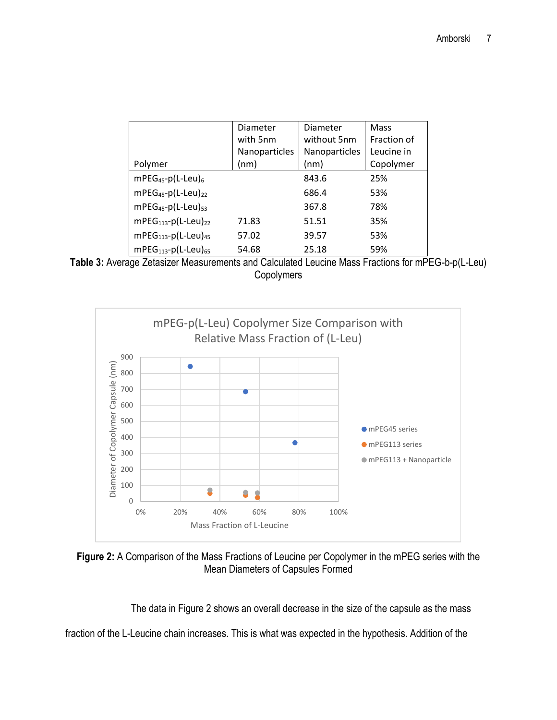|                                     | Diameter      | Diameter      | Mass        |
|-------------------------------------|---------------|---------------|-------------|
|                                     | with 5nm      | without 5nm   | Fraction of |
|                                     | Nanoparticles | Nanoparticles | Leucine in  |
| Polymer                             | (nm)          | (nm)          | Copolymer   |
| $mPEG_{45}$ -p(L-Leu) <sub>6</sub>  |               | 843.6         | 25%         |
| $mPEG_{45}$ -p(L-Leu) <sub>22</sub> |               | 686.4         | 53%         |
| $mPEG45-p(L-Leu)53$                 |               | 367.8         | 78%         |
| $mPEG113-p(L-Leu)22$                | 71.83         | 51.51         | 35%         |
| $mPEG113-p(L-Leu)45$                | 57.02         | 39.57         | 53%         |
| $mPEG113-p(L-Leu)65$                | 54.68         | 25.18         | 59%         |





**Figure 2:** A Comparison of the Mass Fractions of Leucine per Copolymer in the mPEG series with the Mean Diameters of Capsules Formed

The data in Figure 2 shows an overall decrease in the size of the capsule as the mass

fraction of the L-Leucine chain increases. This is what was expected in the hypothesis. Addition of the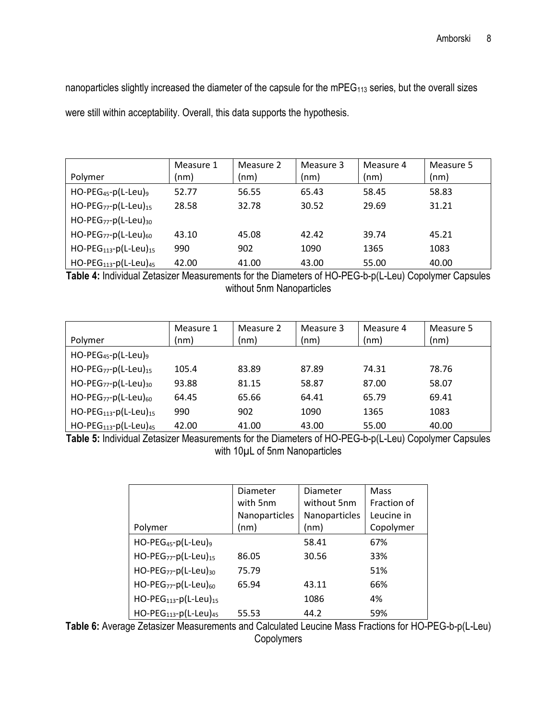nanoparticles slightly increased the diameter of the capsule for the mPEG<sub>113</sub> series, but the overall sizes were still within acceptability. Overall, this data supports the hypothesis.

|                                                  | Measure 1 | Measure 2 | Measure 3 | Measure 4 | Measure 5 |
|--------------------------------------------------|-----------|-----------|-----------|-----------|-----------|
| Polymer                                          | (nm)      | (nm)      | (nm)      | (nm)      | (nm)      |
| $HO$ -PEG <sub>45</sub> -p(L-Leu) <sub>9</sub>   | 52.77     | 56.55     | 65.43     | 58.45     | 58.83     |
| $HO$ -PEG <sub>77</sub> -p(L-Leu) <sub>15</sub>  | 28.58     | 32.78     | 30.52     | 29.69     | 31.21     |
| HO-PEG <sub>77</sub> -p(L-Leu) <sub>30</sub>     |           |           |           |           |           |
| HO-PEG <sub>77</sub> -p(L-Leu) <sub>60</sub>     | 43.10     | 45.08     | 42.42     | 39.74     | 45.21     |
| $HO-PEG_{113} - p(L-Leu)_{15}$                   | 990       | 902       | 1090      | 1365      | 1083      |
| $HO$ -PEG <sub>113</sub> -p(L-Leu) <sub>45</sub> | 42.00     | 41.00     | 43.00     | 55.00     | 40.00     |

**Table 4:** Individual Zetasizer Measurements for the Diameters of HO-PEG-b-p(L-Leu) Copolymer Capsules without 5nm Nanoparticles

| Polymer                                          | Measure 1<br>(nm) | Measure 2<br>(nm) | Measure 3<br>(nm) | Measure 4<br>(nm) | Measure 5<br>(nm) |
|--------------------------------------------------|-------------------|-------------------|-------------------|-------------------|-------------------|
| $HO$ -PEG <sub>45</sub> -p(L-Leu) <sub>9</sub>   |                   |                   |                   |                   |                   |
| HO-PEG <sub>77</sub> -p(L-Leu) <sub>15</sub>     | 105.4             | 83.89             | 87.89             | 74.31             | 78.76             |
| $HO$ -PEG <sub>77</sub> -p(L-Leu) <sub>30</sub>  | 93.88             | 81.15             | 58.87             | 87.00             | 58.07             |
| HO-PEG <sub>77</sub> -p(L-Leu) <sub>60</sub>     | 64.45             | 65.66             | 64.41             | 65.79             | 69.41             |
| $HO-PEG_{113} - p(L-Leu)_{15}$                   | 990               | 902               | 1090              | 1365              | 1083              |
| $HO$ -PEG <sub>113</sub> -p(L-Leu) <sub>45</sub> | 42.00             | 41.00             | 43.00             | 55.00             | 40.00             |

**Table 5:** Individual Zetasizer Measurements for the Diameters of HO-PEG-b-p(L-Leu) Copolymer Capsules with 10µL of 5nm Nanoparticles

|                                                 | Diameter      | Diameter      | Mass        |
|-------------------------------------------------|---------------|---------------|-------------|
|                                                 | with 5nm      | without 5nm   | Fraction of |
|                                                 | Nanoparticles | Nanoparticles | Leucine in  |
| Polymer                                         | (nm)          | (nm)          | Copolymer   |
| $HO$ -PEG <sub>45</sub> -p(L-Leu) <sub>9</sub>  |               | 58.41         | 67%         |
| $HO$ -PEG <sub>77</sub> -p(L-Leu) <sub>15</sub> | 86.05         | 30.56         | 33%         |
| HO-PEG <sub>77</sub> -p(L-Leu) <sub>30</sub>    | 75.79         |               | 51%         |
| $HO$ -PEG <sub>77</sub> -p(L-Leu) <sub>60</sub> | 65.94         | 43.11         | 66%         |
| $HO-PEG_{113} - p(L-Leu)_{15}$                  |               | 1086          | 4%          |
| HO-PEG <sub>113</sub> -p(L-Leu) <sub>45</sub>   | 55.53         | 44.2          | 59%         |

**Table 6:** Average Zetasizer Measurements and Calculated Leucine Mass Fractions for HO-PEG-b-p(L-Leu) **Copolymers**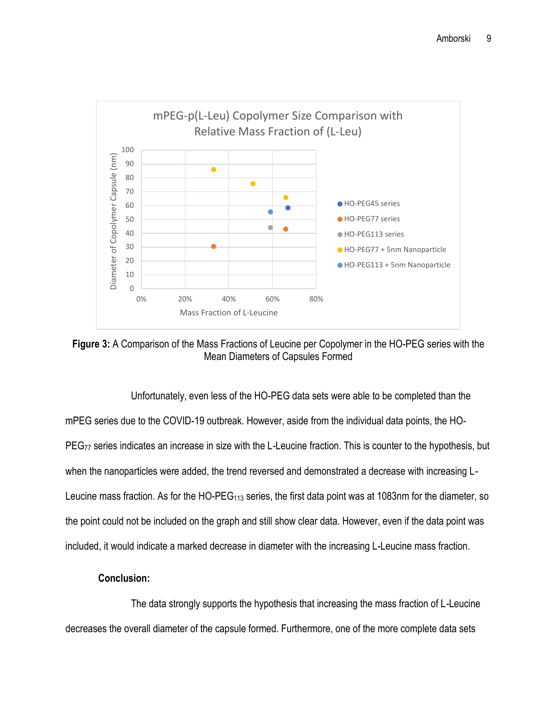

**Figure 3:** A Comparison of the Mass Fractions of Leucine per Copolymer in the HO-PEG series with the Mean Diameters of Capsules Formed

Unfortunately, even less of the HO-PEG data sets were able to be completed than the mPEG series due to the COVID-19 outbreak. However, aside from the individual data points, the HO-PEG<sub>77</sub> series indicates an increase in size with the L-Leucine fraction. This is counter to the hypothesis, but when the nanoparticles were added, the trend reversed and demonstrated a decrease with increasing L-Leucine mass fraction. As for the HO-PEG<sub>113</sub> series, the first data point was at 1083nm for the diameter, so the point could not be included on the graph and still show clear data. However, even if the data point was included, it would indicate a marked decrease in diameter with the increasing L-Leucine mass fraction.

#### **Conclusion:**

The data strongly supports the hypothesis that increasing the mass fraction of L-Leucine decreases the overall diameter of the capsule formed. Furthermore, one of the more complete data sets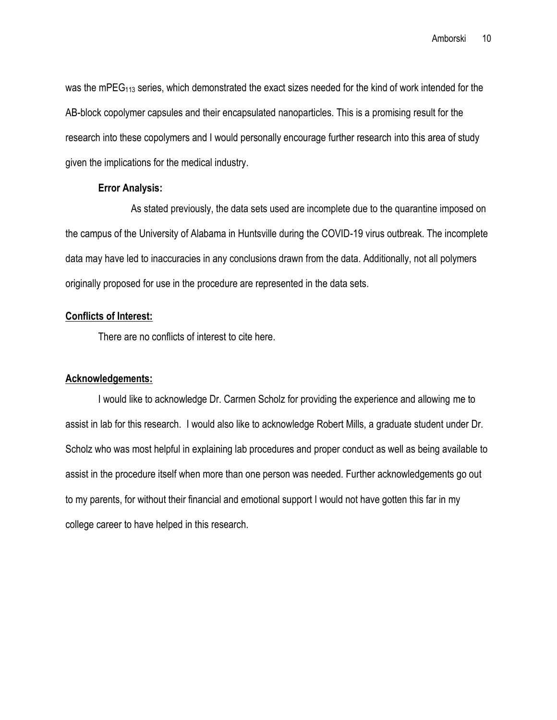was the mPEG<sub>113</sub> series, which demonstrated the exact sizes needed for the kind of work intended for the AB-block copolymer capsules and their encapsulated nanoparticles. This is a promising result for the research into these copolymers and I would personally encourage further research into this area of study given the implications for the medical industry.

#### **Error Analysis:**

As stated previously, the data sets used are incomplete due to the quarantine imposed on the campus of the University of Alabama in Huntsville during the COVID-19 virus outbreak. The incomplete data may have led to inaccuracies in any conclusions drawn from the data. Additionally, not all polymers originally proposed for use in the procedure are represented in the data sets.

#### **Conflicts of Interest:**

There are no conflicts of interest to cite here.

#### **Acknowledgements:**

I would like to acknowledge Dr. Carmen Scholz for providing the experience and allowing me to assist in lab for this research. I would also like to acknowledge Robert Mills, a graduate student under Dr. Scholz who was most helpful in explaining lab procedures and proper conduct as well as being available to assist in the procedure itself when more than one person was needed. Further acknowledgements go out to my parents, for without their financial and emotional support I would not have gotten this far in my college career to have helped in this research.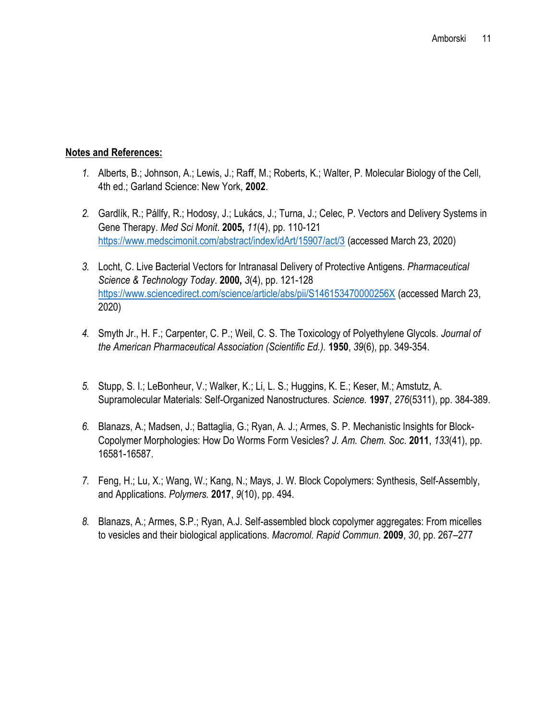#### **Notes and References:**

- *1.* Alberts, B.; Johnson, A.; Lewis, J.; Raff, M.; Roberts, K.; Walter, P. Molecular Biology of the Cell, 4th ed.; Garland Science: New York, **2002**.
- *2.* Gardlík, R.; Pállfy, R.; Hodosy, J.; Lukács, J.; Turna, J.; Celec, P. Vectors and Delivery Systems in Gene Therapy. *Med Sci Monit*. **2005,** *11*(4), pp. 110-121 <https://www.medscimonit.com/abstract/index/idArt/15907/act/3> (accessed March 23, 2020)
- *3.* Locht, C. Live Bacterial Vectors for Intranasal Delivery of Protective Antigens. *Pharmaceutical Science & Technology Today*. **2000,** *3*(4), pp. 121-128 <https://www.sciencedirect.com/science/article/abs/pii/S146153470000256X> (accessed March 23, 2020)
- *4.* Smyth Jr., H. F.; Carpenter, C. P.; Weil, C. S. The Toxicology of Polyethylene Glycols. *Journal of the American Pharmaceutical Association (Scientific Ed.).* **1950**, *39*(6), pp. 349-354.
- *5.* Stupp, S. I.; LeBonheur, V.; Walker, K.; Li, L. S.; Huggins, K. E.; Keser, M.; Amstutz, A. Supramolecular Materials: Self-Organized Nanostructures. *Science.* **1997**, *276*(5311), pp. 384-389.
- *6.* Blanazs, A.; Madsen, J.; Battaglia, G.; Ryan, A. J.; Armes, S. P. Mechanistic Insights for Block-Copolymer Morphologies: How Do Worms Form Vesicles? *J. Am. Chem. Soc.* **2011**, *133*(41), pp. 16581-16587.
- *7.* Feng, H.; Lu, X.; Wang, W.; Kang, N.; Mays, J. W. Block Copolymers: Synthesis, Self-Assembly, and Applications. *Polymers.* **2017**, *9*(10), pp. 494.
- *8.* Blanazs, A.; Armes, S.P.; Ryan, A.J. Self-assembled block copolymer aggregates: From micelles to vesicles and their biological applications. *Macromol. Rapid Commun*. **2009**, *30*, pp. 267–277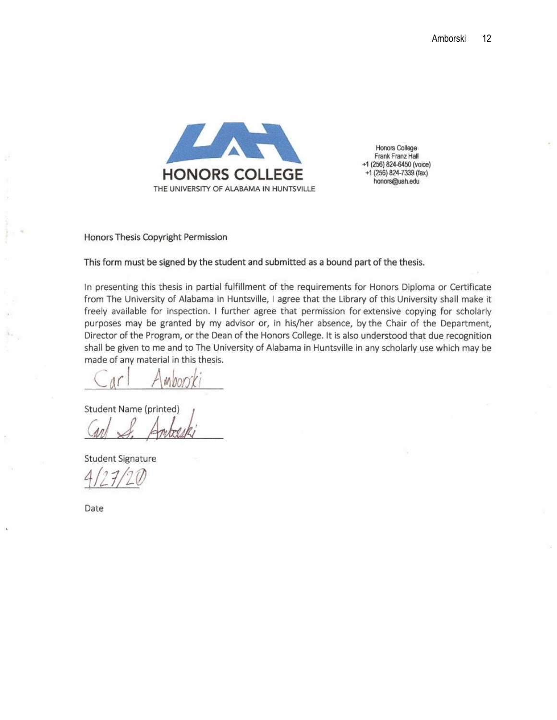

**Honors College** Frank Franz Hall +1 (256) 824-6450 (voice) +1 (256) 824-7339 (fax) honors@uah.edu

Honors Thesis Copyright Permission

This form must be signed by the student and submitted as a bound part of the thesis.

In presenting this thesis in partial fulfillment of the requirements for Honors Diploma or Certificate from The University of Alabama in Huntsville, I agree that the Library of this University shall make it freely available for inspection. I further agree that permission for extensive copying for scholarly purposes may be granted by my advisor or, in his/her absence, by the Chair of the Department, Director of the Program, or the Dean of the Honors College. It is also understood that due recognition shall be given to me and to The University of Alabama in Huntsville in any scholarly use which may be made of any material in this thesis.

Student Name (printed)

**Student Signature** 

Date